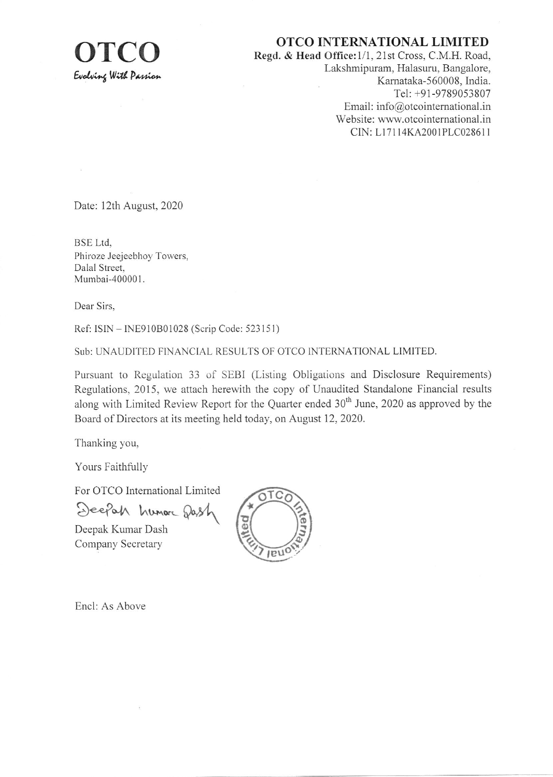

OTCO INTERNATIONAL LIMITED<br>Regd. & Head Office:1/1, 21st Cross, C.M.H. Road. Lakshmipuram, Halasuru, Bangalore, Karnataka-560008, India. Tel: +91-9789053807 Email: info@otcointernational.in Website: www.otcointernational.in CIN: Ll71 l4KA200lPLC0286i <sup>I</sup>

Date: 12th August, 2020

BSE Ltd. Phiroze Jeejeebhoy Towers, Dalal Street. Mumbai-400001.

Dear Sirs.

Ref: ISIN - INE910B01028 (Scrip Code: 523151)

Sub: UNAUDITED FINANCIAL RESULTS OF OTCO INTERNATIONAL LIMITED.

Pursuant to Regulation 33 of SEBI (Listing Obligations and Disclosure Requirements) Regulations. 2015, we attach herewith the copy of Unaudited Standalone Financial results along with Limited Review Report for the Quarter ended 30<sup>th</sup> June, 2020 as approved by the Board of Directors at its meeting held today, on August 12,2020.

Thanking you,

Yours Faithfully

For OTCO Intemational Limited

Deepah humore Dash

Deepak Kumar Dash Company Secretary



Encl: As Above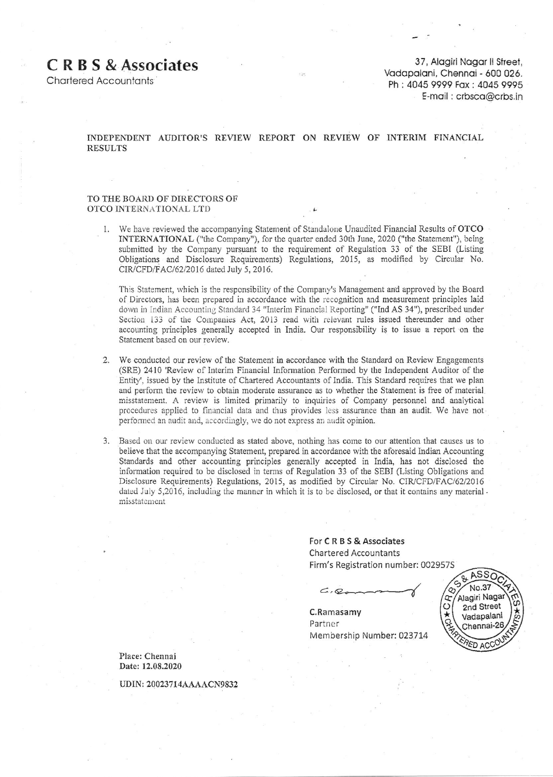# **CRBS & Associates**

**Charlered Accountants** 

37, Alagiri Nagar II Street, Vadapalani, Chennai - 600 026. Ph: 4045 9999 Fax: 4045 9995 E-mail: crbsca@crbs.in

## INDEPENDENT AUDITOR'S REVIEW REPORT ON REVIEW OF INTERIM FINANCIAL **RESULTS**

### TO THE BOARD OF DIRECTORS OF OTCO INTERNATIONAL LTD

1. We have reviewed the accompanying Statement of Standalone Unaudited Financial Results of OTCO INTERNATIONAL ("the Company"), for the quarter ended 30th June, 2020 ("the Statement"), being submitted by the Company pursuant to the requirement of Regulation 33 of the SEBI (Listing Obligations and Disclosure Requirements) Regulations, 2015, as modified by Circular No. CIR/CFD/FAC/62/2016 dated July 5, 2016.

This Statement, which is the responsibility of the Company's Management and approved by the Board of Directors, has been prepared in accordance with the recognition and measurement principles laid down in Indian Accounting Standard 34 "Interim Financial Reporting" ("Ind AS 34"), prescribed under Section 133 of the Companies Act, 2013 read with relevant rules issued thereunder and other accounting principles generally accepted in India. Our responsibility is to issue a report on the Statement based on our review.

- We conducted our review of the Statement in accordance with the Standard on Review Engagements 2. (SRE) 2410 'Review of Interim Financial Information Performed by the Independent Auditor of the Entity', issued by the Institute of Chartered Accountants of India. This Standard requires that we plan and perform the review to obtain moderate assurance as to whether the Statement is free of material misstatement. A review is limited primarily to inquiries of Company personnel and analytical procedures applied to financial data and thus provides less assurance than an audit. We have not performed an audit and, accordingly, we do not express an audit opinion.
- 3. Based on our review conducted as stated above, nothing has come to our attention that causes us to believe that the accompanying Statement, prepared in accordance with the aforesaid Indian Accounting Standards and other accounting principles generally accepted in India, has not disclosed the information required to be disclosed in terms of Regulation 33 of the SEBI (Listing Obligations and Disclosure Requirements) Regulations, 2015, as modified by Circular No. CIR/CFD/FAC/62/2016 dated July 5,2016, including the manner in which it is to be disclosed, or that it contains any material. misstatement

For CRBS& Associates **Chartered Accountants** Firm's Registration number: 002957S

 $C, Q$ 

C.Ramasamv Partner Membership Number: 023714



Place: Chennai Date: 12.08.2020

UDIN: 20023714AAAAACN9832